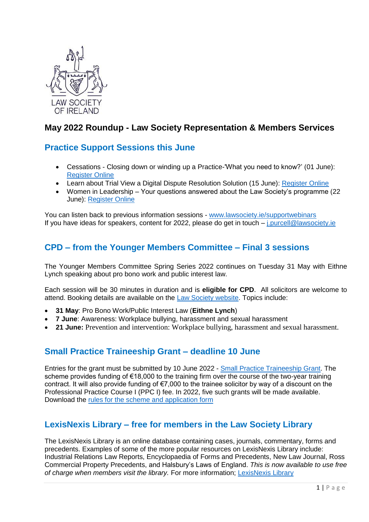

# **May 2022 Roundup - Law Society Representation & Members Services**

## **Practice Support Sessions this June**

- Cessations Closing down or winding up a Practice-'What you need to know?' (01 June): [Register Online](https://zoom.us/webinar/register/WN_B4oIpB6NRiGwalIiz4nvlA)
- Learn about Trial View a Digital Dispute Resolution Solution (15 June): [Register Online](http://lsi.informz.ca/z/cjUucD9taT0xMzQ2OTAyJnA9MSZ1PTkyOTcxNzc0MCZsaT0yNTkxNjMwNA/index.html)
- Women in Leadership Your questions answered about the Law Society's programme (22 June): [Register Online](https://zoom.us/webinar/register/WN_o9ILo0sgQEujjiF49qxcYA)

You can listen back to previous information sessions - [www.lawsociety.ie/supportwebinars](http://www.lawsociety.ie/supportwebinars) If you have ideas for speakers, content for 2022, please do get in touch – i.purcell@lawsociety.ie

## **CPD – from the Younger Members Committee – Final 3 sessions**

The Younger Members Committee Spring Series 2022 continues on Tuesday 31 May with Eithne Lynch speaking about pro bono work and public interest law.

Each session will be 30 minutes in duration and is **eligible for CPD**. All solicitors are welcome to attend. Booking details are available on the [Law Society website.](https://www.lawsociety.ie/productdetails?pid=2558) Topics include:

- **31 May**: Pro Bono Work/Public Interest Law (**Eithne Lynch**)
- **7 June**: Awareness: Workplace bullying, harassment and sexual harassment
- **21 June:** Prevention and intervention: Workplace bullying, harassment and sexual harassment.

## **Small Practice Traineeship Grant – deadline 10 June**

Entries for the grant must be submitted by 10 June 2022 - [Small Practice Traineeship Grant.](https://www.lawsociety.ie/Solicitors/Running-a-Practice/smallpracticehub/small-practice-traineeship-grant) The scheme provides funding of €18,000 to the training firm over the course of the two-year training contract. It will also provide funding of €7,000 to the trainee solicitor by way of a discount on the Professional Practice Course I (PPC I) fee. In 2022, five such grants will be made available. Download the [rules for the scheme and application form](https://www.lawsociety.ie/globalassets/documents/education/trainingsol/small-practice-traineeship-grant-scheme-application-form.pdf)

## **LexisNexis Library – free for members in the Law Society Library**

The LexisNexis Library is an online database containing cases, journals, commentary, forms and precedents. Examples of some of the more popular resources on LexisNexis Library include: Industrial Relations Law Reports, Encyclopaedia of Forms and Precedents, New Law Journal, Ross Commercial Property Precedents, and Halsbury's Laws of England. *This is now available to use free of charge when members visit the library.* For more information; [LexisNexis Library](https://www.lawsociety.ie/Solicitors/Practising/Library/library-updates/lexis-library?utm_source=Email&utm_medium=Email&utm_campaign=Email)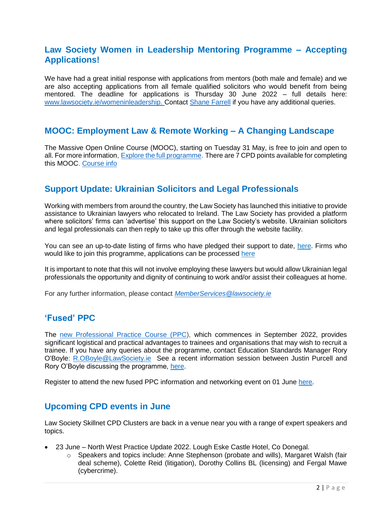### **Law Society Women in Leadership Mentoring Programme – Accepting Applications!**

We have had a great initial response with applications from mentors (both male and female) and we are also accepting applications from all female qualified solicitors who would benefit from being mentored. The deadline for applications is Thursday 30 June 2022 – full details here: [www.lawsociety.ie/womeninleadership.](http://www.lawsociety.ie/womeninleadership) Contact [Shane Farrell](mailto:s.farrell@lawsociety.ie) if you have any additional queries.

#### **MOOC: Employment Law & Remote Working – A Changing Landscape**

The Massive Open Online Course (MOOC), starting on Tuesday 31 May, is free to join and open to all. For more information, Explore the full [programme.](https://mooc2022.lawsociety.ie/pluginfile.php/2/course/section/1/MOOC_TT.pdf?time=1653056474509) There are 7 CPD points available for completing this MOOC. [Course info](https://mooc2022.lawsociety.ie/)

### **Support Update: Ukrainian Solicitors and Legal Professionals**

Working with members from around the country, the Law Society has launched this initiative to provide assistance to Ukrainian lawyers who relocated to Ireland. The Law Society has provided a platform where solicitors' firms can 'advertise' this support on the Law Society's website. Ukrainian solicitors and legal professionals can then reply to take up this offer through the website facility.

You can see an up-to-date listing of firms who have pledged their support to date, [here.](https://www.lawsociety.ie/Solicitors/Representation/ukraine-crisis/play-your-part/support-for-ukranian-lawyers/Firms-offering-support) Firms who would like to join this programme, applications can be processed [here](https://www.lawsociety.ie/Solicitors/Representation/ukraine-crisis/play-your-part/support-for-ukranian-lawyers/Firms-offering-support)

It is important to note that this will not involve employing these lawyers but would allow Ukrainian legal professionals the opportunity and dignity of continuing to work and/or assist their colleagues at home.

For any further information, please contact *[MemberServices@lawsociety.ie](mailto:MemberServices@lawsociety.ie)*

## **'Fused' PPC**

The [new Professional Practice Course \(PPC\)](https://www.lawsociety.ie/News/News/Stories/the-societys-law-school-launches-new-fused-ppc/?filters=&location=&category=&area=#.Yo-No6jMI2w), which commences in September 2022, provides significant logistical and practical advantages to trainees and organisations that may wish to recruit a trainee. If you have any queries about the programme, contact Education Standards Manager Rory O'Boyle: [R.OBoyle@LawSociety.ie](mailto:R.OBoyle@LawSociety.ie) See a recent information session between Justin Purcell and Rory O'Boyle discussing the programme, [here.](https://youtu.be/Qz_MqeLoB30)

Register to attend the new fused PPC information and networking event on 01 June [here.](https://www.lawsociety.ie/News/News/Stories/register-to-attend-new-fused-ppc-event-on-1-june-2022)

#### **Upcoming CPD events in June**

Law Society Skillnet CPD Clusters are back in a venue near you with a range of expert speakers and topics.

- 23 June North West Practice Update 2022. Lough Eske Castle Hotel, Co Donegal.
	- o Speakers and topics include: Anne Stephenson (probate and wills), Margaret Walsh (fair deal scheme), Colette Reid (litigation), Dorothy Collins BL (licensing) and Fergal Mawe (cybercrime).